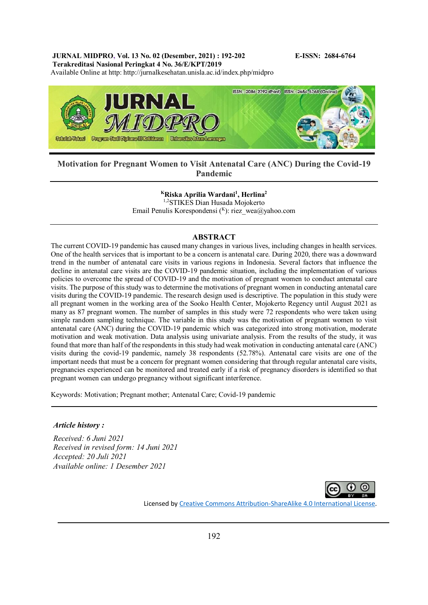# **JURNAL MIDPRO, Vol. 13 No. 02 (Desember, 2021) : 192-202 E-ISSN: 2684-6764**

**Terakreditasi Nasional Peringkat 4 No. 36/E/KPT/2019**

Available Online at http: http://jurnalkesehatan.unisla.ac.id/index.php/midpro



# **Motivation for Pregnant Women to Visit Antenatal Care (ANC) During the Covid-19 Pandemic**

**<sup>K</sup>Riska Aprilia Wardani<sup>1</sup> , Herlina<sup>2</sup>**

1,2STIKES Dian Husada Mojokerto Email Penulis Korespondensi (K): riez\_wea@yahoo.com

### **ABSTRACT**

The current COVID-19 pandemic has caused many changes in various lives, including changes in health services. One of the health services that is important to be a concern is antenatal care. During 2020, there was a downward trend in the number of antenatal care visits in various regions in Indonesia. Several factors that influence the decline in antenatal care visits are the COVID-19 pandemic situation, including the implementation of various policies to overcome the spread of COVID-19 and the motivation of pregnant women to conduct antenatal care visits. The purpose of this study was to determine the motivations of pregnant women in conducting antenatal care visits during the COVID-19 pandemic. The research design used is descriptive. The population in this study were all pregnant women in the working area of the Sooko Health Center, Mojokerto Regency until August 2021 as many as 87 pregnant women. The number of samples in this study were 72 respondents who were taken using simple random sampling technique. The variable in this study was the motivation of pregnant women to visit antenatal care (ANC) during the COVID-19 pandemic which was categorized into strong motivation, moderate motivation and weak motivation. Data analysis using univariate analysis. From the results of the study, it was found that more than half of the respondents in this study had weak motivation in conducting antenatal care (ANC) visits during the covid-19 pandemic, namely 38 respondents (52.78%). Antenatal care visits are one of the important needs that must be a concern for pregnant women considering that through regular antenatal care visits, pregnancies experienced can be monitored and treated early if a risk of pregnancy disorders is identified so that pregnant women can undergo pregnancy without significant interference.

Keywords: Motivation; Pregnant mother; Antenatal Care; Covid-19 pandemic

#### *Article history :*

*Received: 6 Juni 2021 Received in revised form: 14 Juni 2021 Accepted: 20 Juli 2021 Available online: 1 Desember 2021*



Licensed b[y Creative Commons Attribution-ShareAlike 4.0 International License.](http://creativecommons.org/licenses/by-sa/4.0/)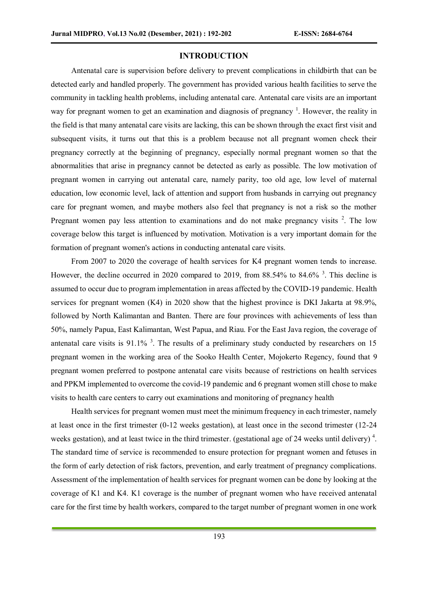# **INTRODUCTION**

Antenatal care is supervision before delivery to prevent complications in childbirth that can be detected early and handled properly. The government has provided various health facilities to serve the community in tackling health problems, including antenatal care. Antenatal care visits are an important way for pregnant women to get an examination and diagnosis of pregnancy<sup>1</sup>. However, the reality in the field is that many antenatal care visits are lacking, this can be shown through the exact first visit and subsequent visits, it turns out that this is a problem because not all pregnant women check their pregnancy correctly at the beginning of pregnancy, especially normal pregnant women so that the abnormalities that arise in pregnancy cannot be detected as early as possible. The low motivation of pregnant women in carrying out antenatal care, namely parity, too old age, low level of maternal education, low economic level, lack of attention and support from husbands in carrying out pregnancy care for pregnant women, and maybe mothers also feel that pregnancy is not a risk so the mother Pregnant women pay less attention to examinations and do not make pregnancy visits  $2$ . The low coverage below this target is influenced by motivation. Motivation is a very important domain for the formation of pregnant women's actions in conducting antenatal care visits.

From 2007 to 2020 the coverage of health services for K4 pregnant women tends to increase. However, the decline occurred in 2020 compared to 2019, from 88.54% to 84.6% <sup>3</sup>. This decline is assumed to occur due to program implementation in areas affected by the COVID-19 pandemic. Health services for pregnant women (K4) in 2020 show that the highest province is DKI Jakarta at 98.9%, followed by North Kalimantan and Banten. There are four provinces with achievements of less than 50%, namely Papua, East Kalimantan, West Papua, and Riau. For the East Java region, the coverage of antenatal care visits is  $91.1\%$ <sup>3</sup>. The results of a preliminary study conducted by researchers on 15 pregnant women in the working area of the Sooko Health Center, Mojokerto Regency, found that 9 pregnant women preferred to postpone antenatal care visits because of restrictions on health services and PPKM implemented to overcome the covid-19 pandemic and 6 pregnant women still chose to make visits to health care centers to carry out examinations and monitoring of pregnancy health

Health services for pregnant women must meet the minimum frequency in each trimester, namely at least once in the first trimester (0-12 weeks gestation), at least once in the second trimester (12-24 weeks gestation), and at least twice in the third trimester. (gestational age of 24 weeks until delivery)<sup>4</sup>. The standard time of service is recommended to ensure protection for pregnant women and fetuses in the form of early detection of risk factors, prevention, and early treatment of pregnancy complications. Assessment of the implementation of health services for pregnant women can be done by looking at the coverage of K1 and K4. K1 coverage is the number of pregnant women who have received antenatal care for the first time by health workers, compared to the target number of pregnant women in one work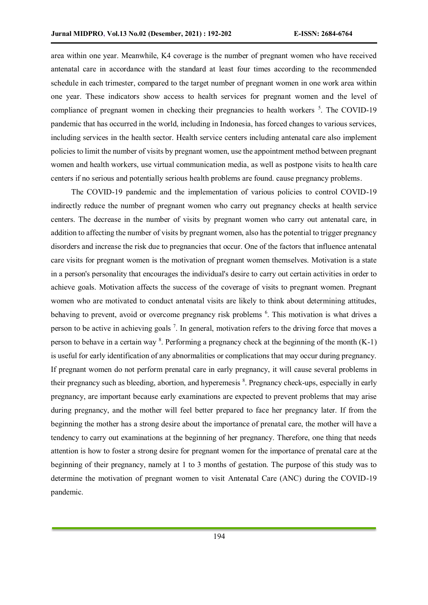area within one year. Meanwhile, K4 coverage is the number of pregnant women who have received antenatal care in accordance with the standard at least four times according to the recommended schedule in each trimester, compared to the target number of pregnant women in one work area within one year. These indicators show access to health services for pregnant women and the level of compliance of pregnant women in checking their pregnancies to health workers  $\frac{5}{1}$ . The COVID-19 pandemic that has occurred in the world, including in Indonesia, has forced changes to various services, including services in the health sector. Health service centers including antenatal care also implement policies to limit the number of visits by pregnant women, use the appointment method between pregnant women and health workers, use virtual communication media, as well as postpone visits to health care centers if no serious and potentially serious health problems are found. cause pregnancy problems.

The COVID-19 pandemic and the implementation of various policies to control COVID-19 indirectly reduce the number of pregnant women who carry out pregnancy checks at health service centers. The decrease in the number of visits by pregnant women who carry out antenatal care, in addition to affecting the number of visits by pregnant women, also has the potential to trigger pregnancy disorders and increase the risk due to pregnancies that occur. One of the factors that influence antenatal care visits for pregnant women is the motivation of pregnant women themselves. Motivation is a state in a person's personality that encourages the individual's desire to carry out certain activities in order to achieve goals. Motivation affects the success of the coverage of visits to pregnant women. Pregnant women who are motivated to conduct antenatal visits are likely to think about determining attitudes, behaving to prevent, avoid or overcome pregnancy risk problems <sup>6</sup>. This motivation is what drives a person to be active in achieving goals<sup>7</sup>. In general, motivation refers to the driving force that moves a person to behave in a certain way  $\delta$ . Performing a pregnancy check at the beginning of the month (K-1) is useful for early identification of any abnormalities or complications that may occur during pregnancy. If pregnant women do not perform prenatal care in early pregnancy, it will cause several problems in their pregnancy such as bleeding, abortion, and hyperemesis <sup>8</sup>. Pregnancy check-ups, especially in early pregnancy, are important because early examinations are expected to prevent problems that may arise during pregnancy, and the mother will feel better prepared to face her pregnancy later. If from the beginning the mother has a strong desire about the importance of prenatal care, the mother will have a tendency to carry out examinations at the beginning of her pregnancy. Therefore, one thing that needs attention is how to foster a strong desire for pregnant women for the importance of prenatal care at the beginning of their pregnancy, namely at 1 to 3 months of gestation. The purpose of this study was to determine the motivation of pregnant women to visit Antenatal Care (ANC) during the COVID-19 pandemic.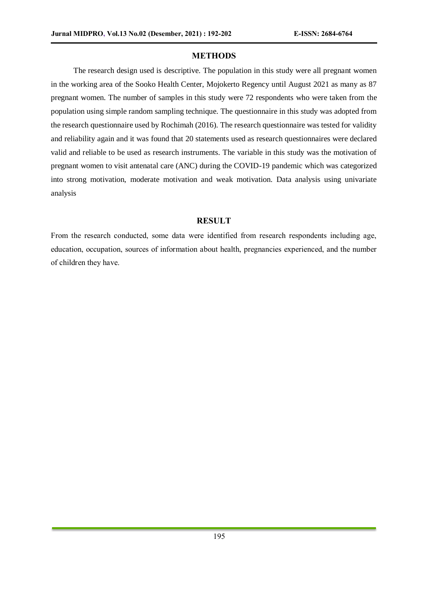# **METHODS**

The research design used is descriptive. The population in this study were all pregnant women in the working area of the Sooko Health Center, Mojokerto Regency until August 2021 as many as 87 pregnant women. The number of samples in this study were 72 respondents who were taken from the population using simple random sampling technique. The questionnaire in this study was adopted from the research questionnaire used by Rochimah (2016). The research questionnaire was tested for validity and reliability again and it was found that 20 statements used as research questionnaires were declared valid and reliable to be used as research instruments. The variable in this study was the motivation of pregnant women to visit antenatal care (ANC) during the COVID-19 pandemic which was categorized into strong motivation, moderate motivation and weak motivation. Data analysis using univariate analysis

# **RESULT**

From the research conducted, some data were identified from research respondents including age, education, occupation, sources of information about health, pregnancies experienced, and the number of children they have.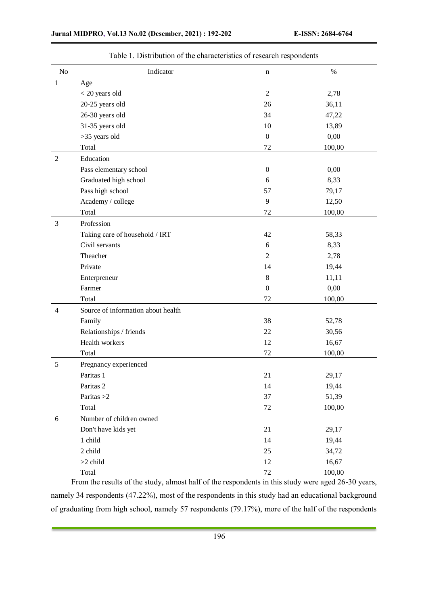| No             | Indicator                          | n                | $\%$   |
|----------------|------------------------------------|------------------|--------|
| $\mathbf{1}$   | Age                                |                  |        |
|                | < 20 years old                     | $\overline{2}$   | 2,78   |
|                | 20-25 years old                    | 26               | 36,11  |
|                | 26-30 years old                    | 34               | 47,22  |
|                | 31-35 years old                    | 10               | 13,89  |
|                | >35 years old                      | $\boldsymbol{0}$ | 0,00   |
|                | Total                              | 72               | 100,00 |
| $\overline{2}$ | Education                          |                  |        |
|                | Pass elementary school             | $\boldsymbol{0}$ | 0,00   |
|                | Graduated high school              | 6                | 8,33   |
|                | Pass high school                   | 57               | 79,17  |
|                | Academy / college                  | 9                | 12,50  |
|                | Total                              | 72               | 100,00 |
| 3              | Profession                         |                  |        |
|                | Taking care of household / IRT     | 42               | 58,33  |
|                | Civil servants                     | 6                | 8,33   |
|                | Theacher                           | $\overline{2}$   | 2,78   |
|                | Private                            | 14               | 19,44  |
|                | Enterpreneur                       | $\,8\,$          | 11,11  |
|                | Farmer                             | $\boldsymbol{0}$ | 0,00   |
|                | Total                              | 72               | 100,00 |
| $\overline{4}$ | Source of information about health |                  |        |
|                | Family                             | 38               | 52,78  |
|                | Relationships / friends            | 22               | 30,56  |
|                | Health workers                     | 12               | 16,67  |
|                | Total                              | 72               | 100,00 |
| 5              | Pregnancy experienced              |                  |        |
|                | Paritas 1                          | 21               | 29,17  |
|                | Paritas 2                          | 14               | 19,44  |
|                | Paritas $>2$                       | 37               | 51,39  |
|                | Total                              | 72               | 100,00 |
| $6\,$          | Number of children owned           |                  |        |
|                | Don't have kids yet                | 21               | 29,17  |
|                | 1 child                            | 14               | 19,44  |
|                | 2 child                            | 25               | 34,72  |
|                | $>2$ child                         | 12               | 16,67  |
|                | Total                              | $72\,$           | 100,00 |

Table 1. Distribution of the characteristics of research respondents

From the results of the study, almost half of the respondents in this study were aged 26-30 years, namely 34 respondents (47.22%), most of the respondents in this study had an educational background of graduating from high school, namely 57 respondents (79.17%), more of the half of the respondents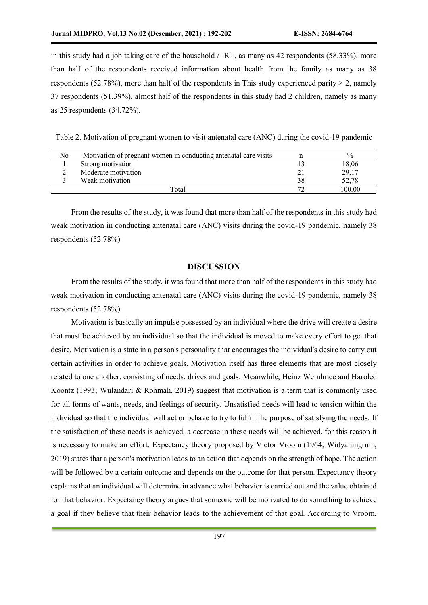in this study had a job taking care of the household / IRT, as many as 42 respondents (58.33%), more than half of the respondents received information about health from the family as many as 38 respondents (52.78%), more than half of the respondents in This study experienced parity  $> 2$ , namely 37 respondents (51.39%), almost half of the respondents in this study had 2 children, namely as many as 25 respondents (34.72%).

Table 2. Motivation of pregnant women to visit antenatal care (ANC) during the covid-19 pandemic

| No | Motivation of pregnant women in conducting antenatal care visits | $\frac{6}{6}$ |
|----|------------------------------------------------------------------|---------------|
|    | Strong motivation                                                | 18,06         |
|    | Moderate motivation                                              | 29,17         |
|    | Weak motivation                                                  | 52,78         |
|    | Total                                                            | 100.00        |

From the results of the study, it was found that more than half of the respondents in this study had weak motivation in conducting antenatal care (ANC) visits during the covid-19 pandemic, namely 38 respondents (52.78%)

### **DISCUSSION**

From the results of the study, it was found that more than half of the respondents in this study had weak motivation in conducting antenatal care (ANC) visits during the covid-19 pandemic, namely 38 respondents (52.78%)

Motivation is basically an impulse possessed by an individual where the drive will create a desire that must be achieved by an individual so that the individual is moved to make every effort to get that desire. Motivation is a state in a person's personality that encourages the individual's desire to carry out certain activities in order to achieve goals. Motivation itself has three elements that are most closely related to one another, consisting of needs, drives and goals. Meanwhile, Heinz Weinhrice and Haroled Koontz (1993; Wulandari & Rohmah, 2019) suggest that motivation is a term that is commonly used for all forms of wants, needs, and feelings of security. Unsatisfied needs will lead to tension within the individual so that the individual will act or behave to try to fulfill the purpose of satisfying the needs. If the satisfaction of these needs is achieved, a decrease in these needs will be achieved, for this reason it is necessary to make an effort. Expectancy theory proposed by Victor Vroom (1964; Widyaningrum, 2019) states that a person's motivation leads to an action that depends on the strength of hope. The action will be followed by a certain outcome and depends on the outcome for that person. Expectancy theory explains that an individual will determine in advance what behavior is carried out and the value obtained for that behavior. Expectancy theory argues that someone will be motivated to do something to achieve a goal if they believe that their behavior leads to the achievement of that goal. According to Vroom,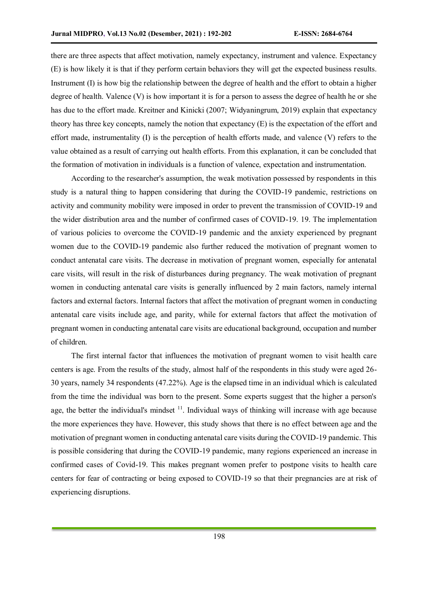there are three aspects that affect motivation, namely expectancy, instrument and valence. Expectancy (E) is how likely it is that if they perform certain behaviors they will get the expected business results. Instrument (I) is how big the relationship between the degree of health and the effort to obtain a higher degree of health. Valence  $(V)$  is how important it is for a person to assess the degree of health he or she has due to the effort made. Kreitner and Kinicki (2007; Widyaningrum, 2019) explain that expectancy theory has three key concepts, namely the notion that expectancy (E) is the expectation of the effort and effort made, instrumentality (I) is the perception of health efforts made, and valence (V) refers to the value obtained as a result of carrying out health efforts. From this explanation, it can be concluded that the formation of motivation in individuals is a function of valence, expectation and instrumentation.

According to the researcher's assumption, the weak motivation possessed by respondents in this study is a natural thing to happen considering that during the COVID-19 pandemic, restrictions on activity and community mobility were imposed in order to prevent the transmission of COVID-19 and the wider distribution area and the number of confirmed cases of COVID-19. 19. The implementation of various policies to overcome the COVID-19 pandemic and the anxiety experienced by pregnant women due to the COVID-19 pandemic also further reduced the motivation of pregnant women to conduct antenatal care visits. The decrease in motivation of pregnant women, especially for antenatal care visits, will result in the risk of disturbances during pregnancy. The weak motivation of pregnant women in conducting antenatal care visits is generally influenced by 2 main factors, namely internal factors and external factors. Internal factors that affect the motivation of pregnant women in conducting antenatal care visits include age, and parity, while for external factors that affect the motivation of pregnant women in conducting antenatal care visits are educational background, occupation and number of children.

The first internal factor that influences the motivation of pregnant women to visit health care centers is age. From the results of the study, almost half of the respondents in this study were aged 26- 30 years, namely 34 respondents (47.22%). Age is the elapsed time in an individual which is calculated from the time the individual was born to the present. Some experts suggest that the higher a person's age, the better the individual's mindset  $<sup>11</sup>$ . Individual ways of thinking will increase with age because</sup> the more experiences they have. However, this study shows that there is no effect between age and the motivation of pregnant women in conducting antenatal care visits during the COVID-19 pandemic. This is possible considering that during the COVID-19 pandemic, many regions experienced an increase in confirmed cases of Covid-19. This makes pregnant women prefer to postpone visits to health care centers for fear of contracting or being exposed to COVID-19 so that their pregnancies are at risk of experiencing disruptions.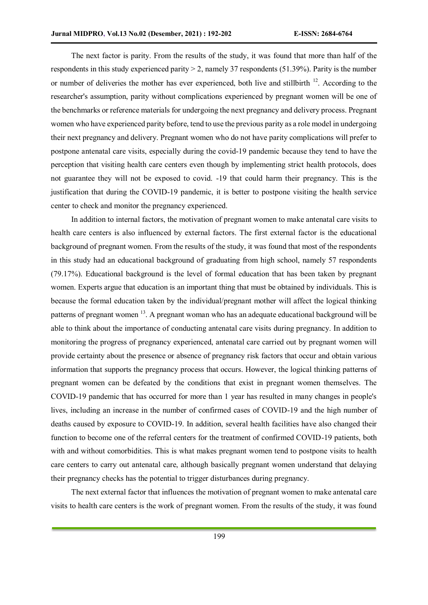The next factor is parity. From the results of the study, it was found that more than half of the respondents in this study experienced parity > 2, namely 37 respondents (51.39%). Parity is the number or number of deliveries the mother has ever experienced, both live and stillbirth  $^{12}$ . According to the researcher's assumption, parity without complications experienced by pregnant women will be one of the benchmarks or reference materials for undergoing the next pregnancy and delivery process. Pregnant women who have experienced parity before, tend to use the previous parity as a role model in undergoing their next pregnancy and delivery. Pregnant women who do not have parity complications will prefer to postpone antenatal care visits, especially during the covid-19 pandemic because they tend to have the perception that visiting health care centers even though by implementing strict health protocols, does not guarantee they will not be exposed to covid. -19 that could harm their pregnancy. This is the justification that during the COVID-19 pandemic, it is better to postpone visiting the health service center to check and monitor the pregnancy experienced.

In addition to internal factors, the motivation of pregnant women to make antenatal care visits to health care centers is also influenced by external factors. The first external factor is the educational background of pregnant women. From the results of the study, it was found that most of the respondents in this study had an educational background of graduating from high school, namely 57 respondents (79.17%). Educational background is the level of formal education that has been taken by pregnant women. Experts argue that education is an important thing that must be obtained by individuals. This is because the formal education taken by the individual/pregnant mother will affect the logical thinking patterns of pregnant women <sup>13</sup>. A pregnant woman who has an adequate educational background will be able to think about the importance of conducting antenatal care visits during pregnancy. In addition to monitoring the progress of pregnancy experienced, antenatal care carried out by pregnant women will provide certainty about the presence or absence of pregnancy risk factors that occur and obtain various information that supports the pregnancy process that occurs. However, the logical thinking patterns of pregnant women can be defeated by the conditions that exist in pregnant women themselves. The COVID-19 pandemic that has occurred for more than 1 year has resulted in many changes in people's lives, including an increase in the number of confirmed cases of COVID-19 and the high number of deaths caused by exposure to COVID-19. In addition, several health facilities have also changed their function to become one of the referral centers for the treatment of confirmed COVID-19 patients, both with and without comorbidities. This is what makes pregnant women tend to postpone visits to health care centers to carry out antenatal care, although basically pregnant women understand that delaying their pregnancy checks has the potential to trigger disturbances during pregnancy.

The next external factor that influences the motivation of pregnant women to make antenatal care visits to health care centers is the work of pregnant women. From the results of the study, it was found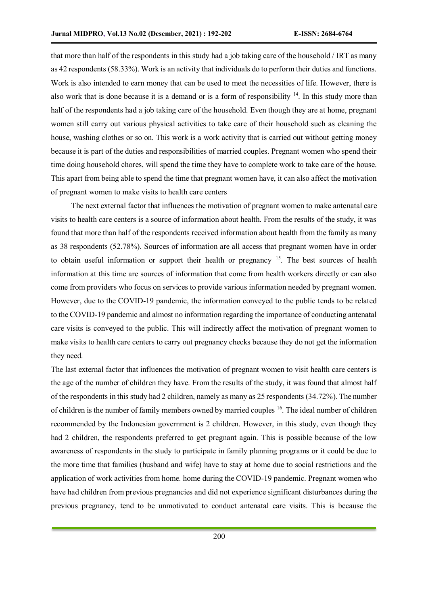that more than half of the respondents in this study had a job taking care of the household / IRT as many as 42 respondents (58.33%). Work is an activity that individuals do to perform their duties and functions. Work is also intended to earn money that can be used to meet the necessities of life. However, there is also work that is done because it is a demand or is a form of responsibility  $14$ . In this study more than half of the respondents had a job taking care of the household. Even though they are at home, pregnant women still carry out various physical activities to take care of their household such as cleaning the house, washing clothes or so on. This work is a work activity that is carried out without getting money because it is part of the duties and responsibilities of married couples. Pregnant women who spend their time doing household chores, will spend the time they have to complete work to take care of the house. This apart from being able to spend the time that pregnant women have, it can also affect the motivation of pregnant women to make visits to health care centers

The next external factor that influences the motivation of pregnant women to make antenatal care visits to health care centers is a source of information about health. From the results of the study, it was found that more than half of the respondents received information about health from the family as many as 38 respondents (52.78%). Sources of information are all access that pregnant women have in order to obtain useful information or support their health or pregnancy <sup>15</sup>. The best sources of health information at this time are sources of information that come from health workers directly or can also come from providers who focus on services to provide various information needed by pregnant women. However, due to the COVID-19 pandemic, the information conveyed to the public tends to be related to the COVID-19 pandemic and almost no information regarding the importance of conducting antenatal care visits is conveyed to the public. This will indirectly affect the motivation of pregnant women to make visits to health care centers to carry out pregnancy checks because they do not get the information they need.

The last external factor that influences the motivation of pregnant women to visit health care centers is the age of the number of children they have. From the results of the study, it was found that almost half of the respondents in this study had 2 children, namely as many as 25 respondents (34.72%). The number of children is the number of family members owned by married couples <sup>16</sup>. The ideal number of children recommended by the Indonesian government is 2 children. However, in this study, even though they had 2 children, the respondents preferred to get pregnant again. This is possible because of the low awareness of respondents in the study to participate in family planning programs or it could be due to the more time that families (husband and wife) have to stay at home due to social restrictions and the application of work activities from home. home during the COVID-19 pandemic. Pregnant women who have had children from previous pregnancies and did not experience significant disturbances during the previous pregnancy, tend to be unmotivated to conduct antenatal care visits. This is because the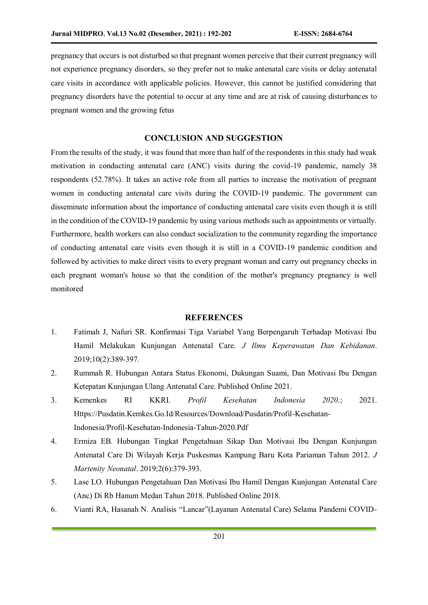pregnancy that occurs is not disturbed so that pregnant women perceive that their current pregnancy will not experience pregnancy disorders, so they prefer not to make antenatal care visits or delay antenatal care visits in accordance with applicable policies. However, this cannot be justified considering that pregnancy disorders have the potential to occur at any time and are at risk of causing disturbances to pregnant women and the growing fetus

# **CONCLUSION AND SUGGESTION**

From the results of the study, it was found that more than half of the respondents in this study had weak motivation in conducting antenatal care (ANC) visits during the covid-19 pandemic, namely 38 respondents (52.78%). It takes an active role from all parties to increase the motivation of pregnant women in conducting antenatal care visits during the COVID-19 pandemic. The government can disseminate information about the importance of conducting antenatal care visits even though it is still in the condition of the COVID-19 pandemic by using various methods such as appointments or virtually. Furthermore, health workers can also conduct socialization to the community regarding the importance of conducting antenatal care visits even though it is still in a COVID-19 pandemic condition and followed by activities to make direct visits to every pregnant woman and carry out pregnancy checks in each pregnant woman's house so that the condition of the mother's pregnancy pregnancy is well monitored

# **REFERENCES**

- 1. Fatimah J, Nafuri SR. Konfirmasi Tiga Variabel Yang Berpengaruh Terhadap Motivasi Ibu Hamil Melakukan Kunjungan Antenatal Care. *J Ilmu Keperawatan Dan Kebidanan*. 2019;10(2):389-397.
- 2. Rummah R. Hubungan Antara Status Ekonomi, Dukungan Suami, Dan Motivasi Ibu Dengan Ketepatan Kunjungan Ulang Antenatal Care. Published Online 2021.
- 3. Kemenkes RI KKRI. *Profil Kesehatan Indonesia 2020*.; 2021. Https://Pusdatin.Kemkes.Go.Id/Resources/Download/Pusdatin/Profil-Kesehatan-Indonesia/Profil-Kesehatan-Indonesia-Tahun-2020.Pdf
- 4. Ermiza EB. Hubungan Tingkat Pengetahuan Sikap Dan Motivasi Ibu Dengan Kunjungan Antenatal Care Di Wilayah Kerja Puskesmas Kampung Baru Kota Pariaman Tahun 2012. *J Martenity Neonatal*. 2019;2(6):379-393.
- 5. Lase LO. Hubungan Pengetahuan Dan Motivasi Ibu Hamil Dengan Kunjungan Antenatal Care (Anc) Di Rb Hanum Medan Tahun 2018. Published Online 2018.
- 6. Vianti RA, Hasanah N. Analisis "Lancar"(Layanan Antenatal Care) Selama Pandemi COVID-